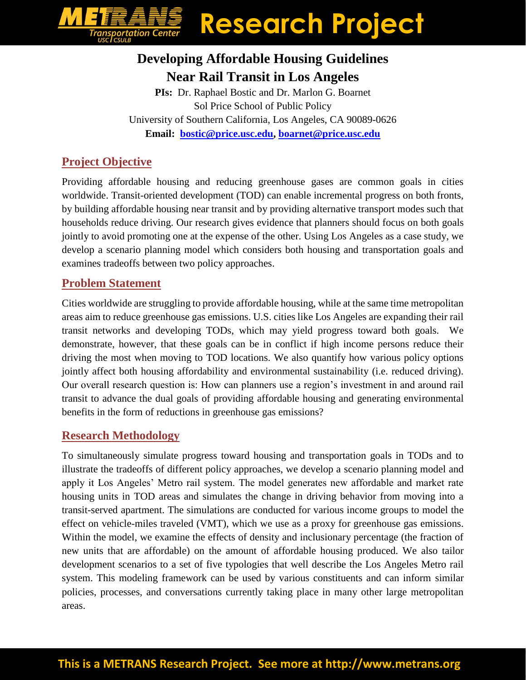## **Research Project ========**<br>portation Cente<br><sub>CSULB</sub>

### **Developing Affordable Housing Guidelines Near Rail Transit in Los Angeles**

**PIs:** Dr. Raphael Bostic and Dr. Marlon G. Boarnet Sol Price School of Public Policy University of Southern California, Los Angeles, CA 90089-0626 **Email: [bostic@price.usc.edu,](mailto:bostic@price.usc.edu) [boarnet@price.usc.edu](mailto:boarnet@price.usc.edu)**

#### **Project Objective**

Providing affordable housing and reducing greenhouse gases are common goals in cities worldwide. Transit-oriented development (TOD) can enable incremental progress on both fronts, by building affordable housing near transit and by providing alternative transport modes such that households reduce driving. Our research gives evidence that planners should focus on both goals jointly to avoid promoting one at the expense of the other. Using Los Angeles as a case study, we develop a scenario planning model which considers both housing and transportation goals and examines tradeoffs between two policy approaches.

#### **Problem Statement**

Cities worldwide are struggling to provide affordable housing, while at the same time metropolitan areas aim to reduce greenhouse gas emissions. U.S. cities like Los Angeles are expanding their rail transit networks and developing TODs, which may yield progress toward both goals. We demonstrate, however, that these goals can be in conflict if high income persons reduce their driving the most when moving to TOD locations. We also quantify how various policy options jointly affect both housing affordability and environmental sustainability (i.e. reduced driving). Our overall research question is: How can planners use a region's investment in and around rail transit to advance the dual goals of providing affordable housing and generating environmental benefits in the form of reductions in greenhouse gas emissions?

#### **Research Methodology**

To simultaneously simulate progress toward housing and transportation goals in TODs and to illustrate the tradeoffs of different policy approaches, we develop a scenario planning model and apply it Los Angeles' Metro rail system. The model generates new affordable and market rate housing units in TOD areas and simulates the change in driving behavior from moving into a transit-served apartment. The simulations are conducted for various income groups to model the effect on vehicle-miles traveled (VMT), which we use as a proxy for greenhouse gas emissions. Within the model, we examine the effects of density and inclusionary percentage (the fraction of new units that are affordable) on the amount of affordable housing produced. We also tailor development scenarios to a set of five typologies that well describe the Los Angeles Metro rail system. This modeling framework can be used by various constituents and can inform similar policies, processes, and conversations currently taking place in many other large metropolitan areas.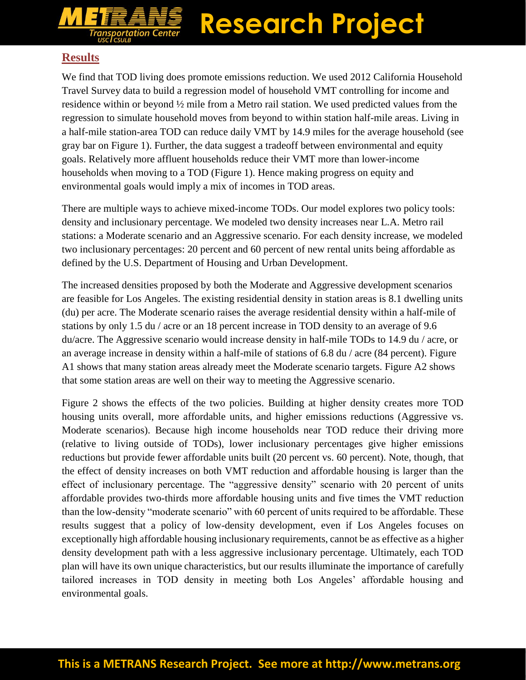# **Research Project**

#### **Results**

We find that TOD living does promote emissions reduction. We used 2012 California Household Travel Survey data to build a regression model of household VMT controlling for income and residence within or beyond ½ mile from a Metro rail station. We used predicted values from the regression to simulate household moves from beyond to within station half-mile areas. Living in a half-mile station-area TOD can reduce daily VMT by 14.9 miles for the average household (see gray bar on Figure 1). Further, the data suggest a tradeoff between environmental and equity goals. Relatively more affluent households reduce their VMT more than lower-income households when moving to a TOD (Figure 1). Hence making progress on equity and environmental goals would imply a mix of incomes in TOD areas.

There are multiple ways to achieve mixed-income TODs. Our model explores two policy tools: density and inclusionary percentage. We modeled two density increases near L.A. Metro rail stations: a Moderate scenario and an Aggressive scenario. For each density increase, we modeled two inclusionary percentages: 20 percent and 60 percent of new rental units being affordable as defined by the U.S. Department of Housing and Urban Development.

The increased densities proposed by both the Moderate and Aggressive development scenarios are feasible for Los Angeles. The existing residential density in station areas is 8.1 dwelling units (du) per acre. The Moderate scenario raises the average residential density within a half-mile of stations by only 1.5 du / acre or an 18 percent increase in TOD density to an average of 9.6 du/acre. The Aggressive scenario would increase density in half-mile TODs to 14.9 du / acre, or an average increase in density within a half-mile of stations of 6.8 du / acre (84 percent). Figure A1 shows that many station areas already meet the Moderate scenario targets. Figure A2 shows that some station areas are well on their way to meeting the Aggressive scenario.

Figure 2 shows the effects of the two policies. Building at higher density creates more TOD housing units overall, more affordable units, and higher emissions reductions (Aggressive vs. Moderate scenarios). Because high income households near TOD reduce their driving more (relative to living outside of TODs), lower inclusionary percentages give higher emissions reductions but provide fewer affordable units built (20 percent vs. 60 percent). Note, though, that the effect of density increases on both VMT reduction and affordable housing is larger than the effect of inclusionary percentage. The "aggressive density" scenario with 20 percent of units affordable provides two-thirds more affordable housing units and five times the VMT reduction than the low-density "moderate scenario" with 60 percent of units required to be affordable. These results suggest that a policy of low-density development, even if Los Angeles focuses on exceptionally high affordable housing inclusionary requirements, cannot be as effective as a higher density development path with a less aggressive inclusionary percentage. Ultimately, each TOD plan will have its own unique characteristics, but our results illuminate the importance of carefully tailored increases in TOD density in meeting both Los Angeles' affordable housing and environmental goals.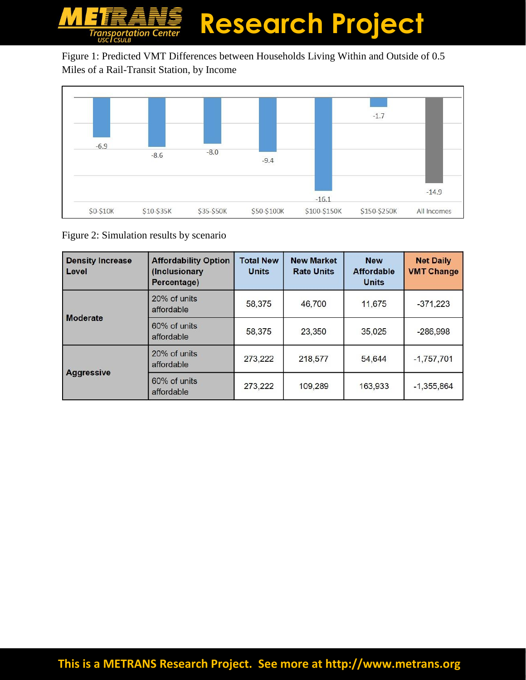## **Research Project Transportation Center**

Figure 1: Predicted VMT Differences between Households Living Within and Outside of 0.5 Miles of a Rail-Transit Station, by Income



Figure 2: Simulation results by scenario

| <b>Density Increase</b><br>Level | <b>Affordability Option</b><br>(Inclusionary<br>Percentage) | <b>Total New</b><br><b>Units</b> | <b>New Market</b><br><b>Rate Units</b> | <b>New</b><br><b>Affordable</b><br><b>Units</b> | <b>Net Daily</b><br><b>VMT Change</b> |
|----------------------------------|-------------------------------------------------------------|----------------------------------|----------------------------------------|-------------------------------------------------|---------------------------------------|
| <b>Moderate</b>                  | 20% of units<br>affordable                                  | 58,375                           | 46,700                                 | 11,675                                          | $-371,223$                            |
|                                  | 60% of units<br>affordable                                  | 58,375                           | 23,350                                 | 35,025                                          | $-286,998$                            |
| <b>Aggressive</b>                | 20% of units<br>affordable                                  | 273,222                          | 218,577                                | 54,644                                          | $-1,757,701$                          |
|                                  | 60% of units<br>affordable                                  | 273,222                          | 109,289                                | 163,933                                         | $-1,355,864$                          |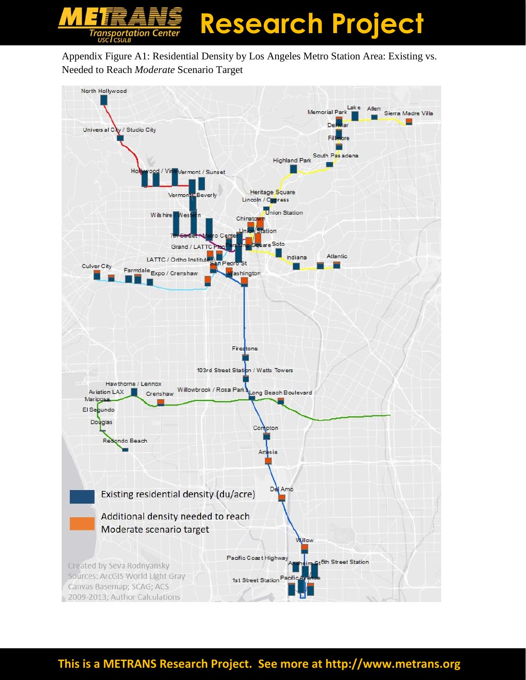

Appendix Figure A1: Residential Density by Los Angeles Metro Station Area: Existing vs. Needed to Reach *Moderate* Scenario Target